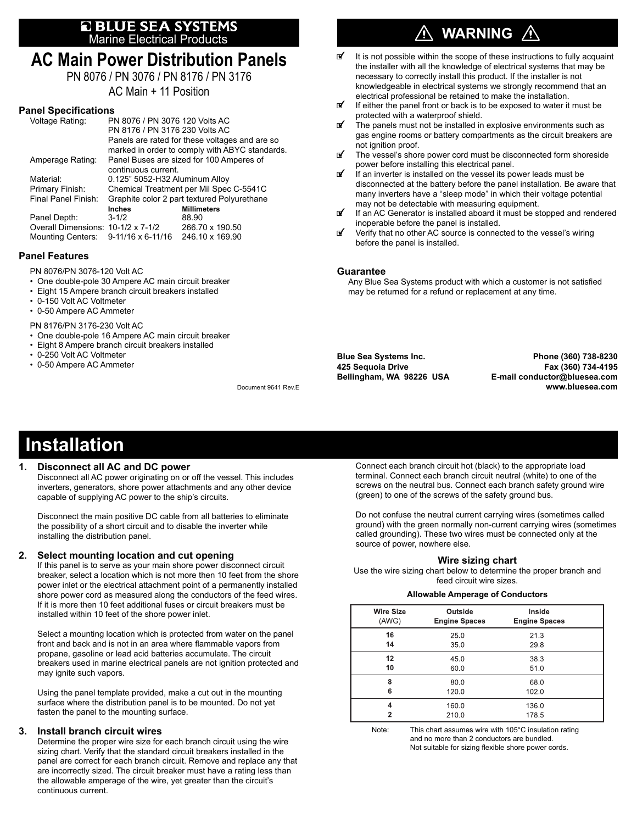# **Q BLUE SEA SYSTEMS**<br>Marine Electrical Products

### **AC Main Power Distribution Panels**

PN 8076 / PN 3076 / PN 8176 / PN 3176

AC Main + 11 Position

### **Panel Specifications**

| Voltage Rating:                    | PN 8076 / PN 3076 120 Volts AC                 |                    |  |
|------------------------------------|------------------------------------------------|--------------------|--|
|                                    | PN 8176 / PN 3176 230 Volts AC                 |                    |  |
|                                    | Panels are rated for these voltages and are so |                    |  |
|                                    | marked in order to comply with ABYC standards. |                    |  |
| Amperage Rating:                   | Panel Buses are sized for 100 Amperes of       |                    |  |
|                                    | continuous current.                            |                    |  |
| Material:                          | 0.125" 5052-H32 Aluminum Alloy                 |                    |  |
| Primary Finish:                    | Chemical Treatment per Mil Spec C-5541C        |                    |  |
| Final Panel Finish:                | Graphite color 2 part textured Polyurethane    |                    |  |
|                                    | <b>Inches</b>                                  | <b>Millimeters</b> |  |
| Panel Depth:                       | $3 - 1/2$                                      | 88.90              |  |
| Overall Dimensions: 10-1/2 x 7-1/2 |                                                | 266.70 x 190.50    |  |
| <b>Mounting Centers:</b>           | 9-11/16 x 6-11/16                              | 246.10 x 169.90    |  |
|                                    |                                                |                    |  |

### **Panel Features**

- PN 8076/PN 3076-120 Volt AC
- One double-pole 30 Ampere AC main circuit breaker
- Eight 15 Ampere branch circuit breakers installed
- 0-150 Volt AC Voltmeter
- 0-50 Ampere AC Ammeter

PN 8176/PN 3176-230 Volt AC

- One double-pole 16 Ampere AC main circuit breaker
- Eight 8 Ampere branch circuit breakers installed
- 0-250 Volt AC Voltmeter
- 0-50 Ampere AC Ammeter

## **WARNING**

- It is not possible within the scope of these instructions to fully acquaint the installer with all the knowledge of electrical systems that may be necessary to correctly install this product. If the installer is not knowledgeable in electrical systems we strongly recommend that an electrical professional be retained to make the installation.
- $\mathbb{F}$  If either the panel front or back is to be exposed to water it must be protected with a waterproof shield.
- The panels must not be installed in explosive environments such as gas engine rooms or battery compartments as the circuit breakers are not ignition proof.<br>The vessel's shor
- The vessel's shore power cord must be disconnected form shoreside power before installing this electrical panel.<br>
If an inverter is installed on the vessel its po
- If an inverter is installed on the vessel its power leads must be disconnected at the battery before the panel installation. Be aware that many inverters have a "sleep mode" in which their voltage potential may not be detectable with measuring equipment.<br>If an AC Generator is installed aboard it must be st
- If an AC Generator is installed aboard it must be stopped and rendered inoperable before the panel is installed.
- **T** Verify that no other AC source is connected to the vessel's wiring before the panel is installed.

### **Guarantee**

Any Blue Sea Systems product with which a customer is not satisfied may be returned for a refund or replacement at any time.

**Blue Sea Systems Inc. Phone (360) 738-8230 425 Sequoia Drive Fax (360) 734-4195 Bellingham, WA 98226 USA E-mail conductor@bluesea.com** Document 9641 Rev.E **www.bluesea.com**

### **Installation**

### **1. Disconnect all AC and DC power**

 Disconnect all AC power originating on or off the vessel. This includes inverters, generators, shore power attachments and any other device capable of supplying AC power to the ship's circuits.

 Disconnect the main positive DC cable from all batteries to eliminate the possibility of a short circuit and to disable the inverter while installing the distribution panel.

### **2. Select mounting location and cut opening**

 If this panel is to serve as your main shore power disconnect circuit breaker, select a location which is not more then 10 feet from the shore power inlet or the electrical attachment point of a permanently installed shore power cord as measured along the conductors of the feed wires. If it is more then 10 feet additional fuses or circuit breakers must be installed within 10 feet of the shore power inlet.

 Select a mounting location which is protected from water on the panel front and back and is not in an area where flammable vapors from propane, gasoline or lead acid batteries accumulate. The circuit breakers used in marine electrical panels are not ignition protected and may ignite such vapors.

 Using the panel template provided, make a cut out in the mounting surface where the distribution panel is to be mounted. Do not yet fasten the panel to the mounting surface.

### **3. Install branch circuit wires**

 Determine the proper wire size for each branch circuit using the wire sizing chart. Verify that the standard circuit breakers installed in the panel are correct for each branch circuit. Remove and replace any that are incorrectly sized. The circuit breaker must have a rating less than the allowable amperage of the wire, yet greater than the circuit's continuous current.

Connect each branch circuit hot (black) to the appropriate load terminal. Connect each branch circuit neutral (white) to one of the screws on the neutral bus. Connect each branch safety ground wire (green) to one of the screws of the safety ground bus.

Do not confuse the neutral current carrying wires (sometimes called ground) with the green normally non-current carrying wires (sometimes called grounding). These two wires must be connected only at the source of power, nowhere else.

### **Wire sizing chart**

Use the wire sizing chart below to determine the proper branch and feed circuit wire sizes.

#### **Allowable Amperage of Conductors**

| <b>Wire Size</b> | Outside              | Inside               |  |
|------------------|----------------------|----------------------|--|
| (AWG)            | <b>Engine Spaces</b> | <b>Engine Spaces</b> |  |
| 16               | 25.0                 | 21.3                 |  |
| 14               | 35.0                 | 29.8                 |  |
| 12               | 45.0                 | 38.3                 |  |
| 10               | 60.0                 | 51.0                 |  |
| 8                | 80.0                 | 68.0                 |  |
| 6                | 120.0                | 102.0                |  |
| 4                | 160.0                | 136.0                |  |
| 2                | 210.0                | 178.5                |  |

Note: This chart assumes wire with 105°C insulation rating and no more than 2 conductors are bundled. Not suitable for sizing flexible shore power cords.